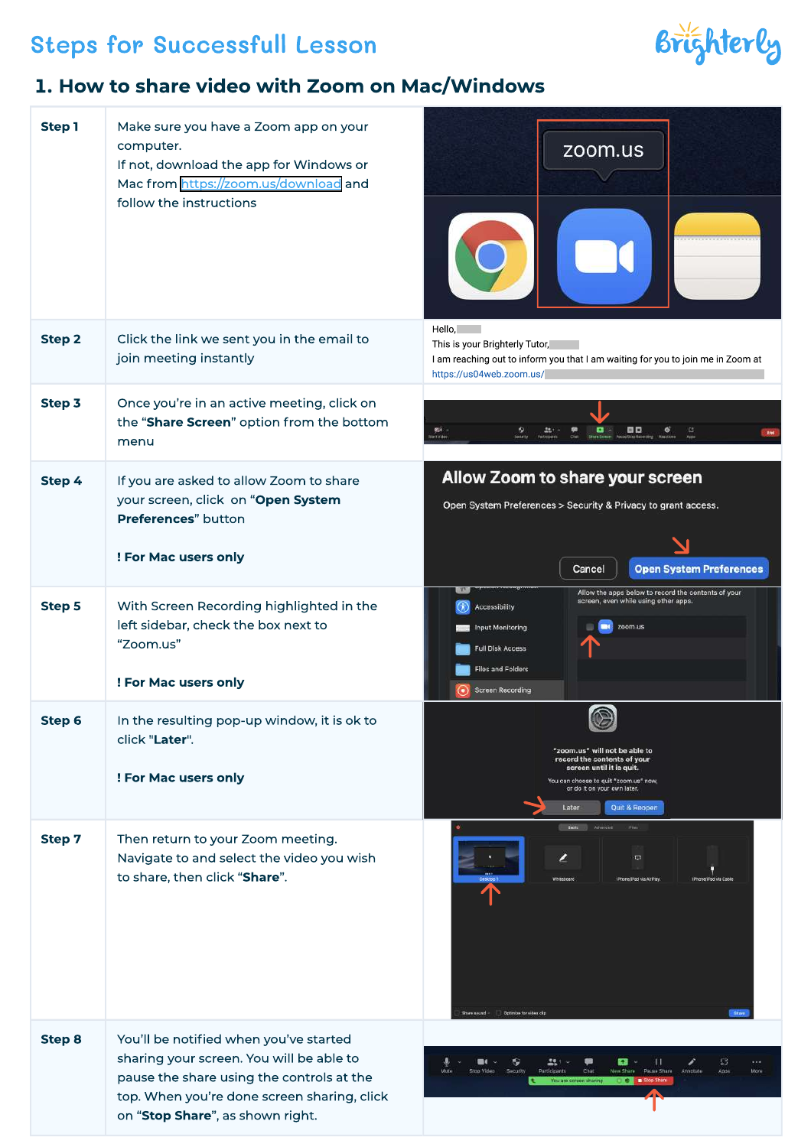# Steps for Successfull Lesson

#### 1. How to share video with Zoom on Mac/Windows

| <b>Step1</b>  | Make sure you have a Zoom app on your<br>computer.<br>If not, download the app for Windows or<br>Mac from https://zoom.us/download and<br>follow the instructions                                                  | zoom.us                                                                                                                                                                                                              |
|---------------|--------------------------------------------------------------------------------------------------------------------------------------------------------------------------------------------------------------------|----------------------------------------------------------------------------------------------------------------------------------------------------------------------------------------------------------------------|
| <b>Step 2</b> | Click the link we sent you in the email to<br>join meeting instantly                                                                                                                                               | Hello, and<br>This is your Brighterly Tutor,<br>I am reaching out to inform you that I am waiting for you to join me in Zoom at<br>https://us04web.zoom.us/                                                          |
| Step 3        | Once you're in an active meeting, click on<br>the "Share Screen" option from the bottom<br>menu                                                                                                                    | 四口<br>$\left  \mathbb{C}\right $<br>购车                                                                                                                                                                               |
| Step 4        | If you are asked to allow Zoom to share<br>your screen, click on "Open System<br>Preferences" button                                                                                                               | Allow Zoom to share your screen<br>Open System Preferences > Security & Privacy to grant access.                                                                                                                     |
|               | ! For Mac users only                                                                                                                                                                                               | <b>Open System Preferences</b><br>Cancel                                                                                                                                                                             |
| <b>Step 5</b> | With Screen Recording highlighted in the<br>left sidebar, check the box next to<br>"Zoom.us"<br>! For Mac users only                                                                                               | Allow the apps below to record the contents of your<br>screen, even while using other apps.<br>Accessibility<br>zoom.us<br>Input Monitoring<br>Full Disk Access<br>Files and Folders<br><b>Screen Recording</b>      |
| Step 6        | In the resulting pop-up window, it is ok to<br>click "Later".<br>! For Mac users only                                                                                                                              | $\widehat{\mathbb{C}}$<br>"zoom.us" will not be able to<br>record the contents of your<br>screen until it is quit.<br>You can choose to quit "zoom.us" now,<br>or do it on your own later.<br>Quit & Reopen<br>Later |
| <b>Step 7</b> | Then return to your Zoom meeting.<br>Navigate to and select the video you wish<br>to share, then click "Share".                                                                                                    | <b>Casic</b><br>Five<br>$\blacksquare$<br>hone/IPad via AirPlay<br>Phone/Fod via Cable<br>Share cound - Gptmize for video clip                                                                                       |
| <b>Step 8</b> | You'll be notified when you've started<br>sharing your screen. You will be able to<br>pause the share using the controls at the<br>top. When you're done screen sharing, click<br>on "Stop Share", as shown right. | ۰<br>221<br>œ<br>п<br>53<br>1.11<br>$\blacksquare$<br>New Share<br>Pause Share<br>Moni<br>Security<br>Participants<br>Char<br>Annotate<br>Apps                                                                       |

Brighterly